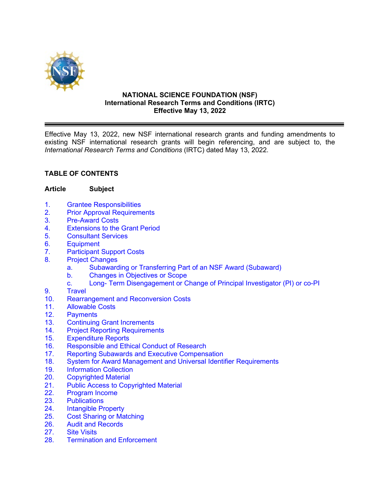

#### **NATIONAL SCIENCE FOUNDATION (NSF) International Research Terms and Conditions (IRTC) Effective May 13, 2022**

Effective May 13, 2022, new NSF international research grants and funding amendments to existing NSF international research grants will begin referencing, and are subject to, the *International Research Terms and Conditions* (IRTC) dated May 13, 2022.

## **TABLE OF CONTENTS**

#### **Article Subject**

- 1. Grantee [Responsibilities](#page-2-0)
- 2. [Prior Approval Requirements](#page-3-0)
- 3. [Pre-Award Costs](#page-3-0)
- 4. [Extensions to the Grant Period](#page-3-0)
- 5. [Consultant Services](#page-4-0)
- 6. [Equipment](#page-4-0)
- 7. [Participant Support Costs](#page-5-0)
- 8. [Project Changes](#page-6-0)
	- [a. Subawarding or Transferring Part of an NSF Award](#page-6-0) (Subaward)
	- b. Changes [in Objectives or Scope](#page-6-0)
	- c. Long- Term [Disengagement or Change of Principal Investigator \(PI\) or co-PI](#page-6-0)
- 9. [Travel](#page-7-0)
- 10. Rearrangement [and Reconversion Costs](#page-9-0)
- 11. [Allowable Costs](#page-10-0)
- 12. [Payments](#page-10-0)
- 13. [Continuing Grant](#page-10-0) Increments<br>14. Proiect Reporting Requirement
- 14. [Project Reporting](#page-11-0) Requirements<br>15. Expenditure Reports
- 
- 15. [Expenditure Reports](#page-12-0)<br>16. Responsible and Ethi [Responsible and Ethical Conduct of Research](#page-12-0)
- 17. [Reporting Subawards and Executive Compensation](#page-13-0)
- 18. [System for Award Management and Universal Identifier](#page-16-0) Requirements
- 19. [Information Collection](#page-17-0)
- 20. [Copyrighted](#page-17-0) Material<br>21. Public Access to Cop
- 21. [Public Access to Copyrighted Material](#page-18-0)<br>22. Program Income
- [Program Income](#page-18-0)
- 23. [Publications](#page-20-0)
- 24. [Intangible Property](#page-20-0)
- 25. Cost [Sharing or Matching](#page-20-0)
- 26. [Audit and Records](#page-21-0)
- 27. [Site Visits](#page-22-0)
- 28. Termination [and Enforcement](#page-22-0)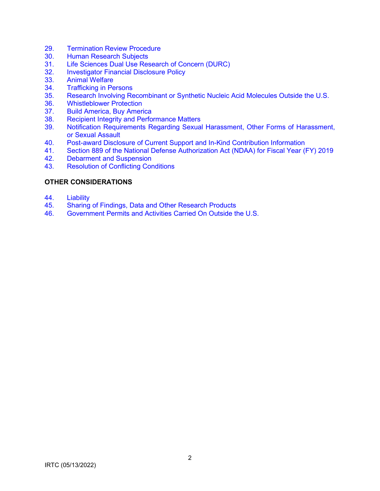- 29. [Termination Review Procedure](#page-23-0)
- 30. [Human Research Subjects](#page-24-0)
- 31. [Life Sciences Dual Use Research of Concern \(DURC\)](#page-24-0)<br>32. Investigator Financial Disclosure Policy
- **[Investigator Financial Disclosure Policy](#page-24-0)**
- 33. [Animal Welfare](#page-24-0)
- 34. [Trafficking in Persons](#page-24-0)<br>35. Research Involving Re
- 35. Research Involving Recombinant [or Synthetic Nucleic Acid Molecules Outside the U.S.](#page-24-0)
- 36. [Whistleblower Protection](#page-25-0)
- 37. [Build America, Buy America](#page-25-0)
- 38. [Recipient Integrity and Performance Matters](#page-25-0)<br>39. Notification Requirements Regarding Sexual
- Notification Requirements Regarding Sexual Harassment, Other Forms of Harassment, or Sexual Assault
- 40. [Post-award Disclosure of Current Support and In-Kind Contribution Information](#page-28-0)
- 41. [Section 889 of the National Defense Authorization Act \(NDAA\) for Fiscal Year \(FY\) 2019](#page-29-0)
- 42. [Debarment and Suspension](#page-30-0)
- 43. [Resolution of Conflicting Conditions](#page-31-0)

### **[OTHER CONSIDERATIONS](#page-31-0)**

- 44. [Liability](#page-31-0)<br>45. Sharing
- 45. [Sharing of Findings, Data and Other Research Products](#page-31-0)
- 46. [Government Permits and Activities Carried On Outside the U.S.](#page-31-0)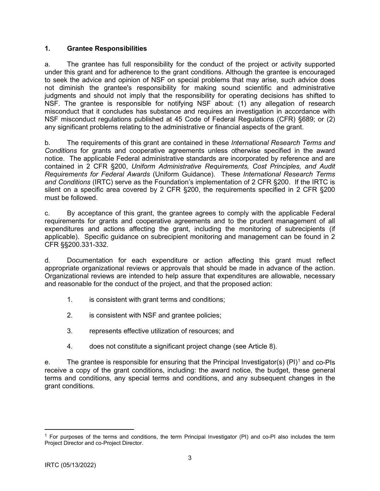### <span id="page-2-0"></span>**1. Grantee Responsibilities**

a. The grantee has full responsibility for the conduct of the project or activity supported under this grant and for adherence to the grant conditions. Although the grantee is encouraged to seek the advice and opinion of NSF on special problems that may arise, such advice does not diminish the grantee's responsibility for making sound scientific and administrative judgments and should not imply that the responsibility for operating decisions has shifted to NSF. The grantee is responsible for notifying NSF about: (1) any allegation of research misconduct that it concludes has substance and requires an investigation in accordance with NSF misconduct regulations published at 45 Code of Federal Regulations (CFR) §689; or (2) any significant problems relating to the administrative or financial aspects of the grant.

b. The requirements of this grant are contained in these *International Research Terms and Conditions* for grants and cooperative agreements unless otherwise specified in the award notice. The applicable Federal administrative standards are incorporated by reference and are contained in 2 CFR §200, *Uniform Administrative Requirements, Cost Principles, and Audit Requirements for Federal Awards* (Uniform Guidance). These *International Research Terms and Conditions* (IRTC) serve as the Foundation's implementation of 2 CFR §200. If the IRTC is silent on a specific area covered by 2 CFR §200, the requirements specified in 2 CFR §200 must be followed.

c. By acceptance of this grant, the grantee agrees to comply with the applicable Federal requirements for grants and cooperative agreements and to the prudent management of all expenditures and actions affecting the grant, including the monitoring of subrecipients (if applicable). Specific guidance on subrecipient monitoring and management can be found in 2 CFR §§200.331-332.

d. Documentation for each expenditure or action affecting this grant must reflect appropriate organizational reviews or approvals that should be made in advance of the action. Organizational reviews are intended to help assure that expenditures are allowable, necessary and reasonable for the conduct of the project, and that the proposed action:

- 1. is consistent with grant terms and conditions;
- 2. is consistent with NSF and grantee policies;
- 3. represents effective utilization of resources; and
- 4. does not constitute a significant project change (see Article 8).

e. The grantee is responsible for ensuring that the Principal Investigator(s) (PI)<sup>[1](#page-2-1)</sup> and co-PIs receive a copy of the grant conditions, including: the award notice, the budget, these general terms and conditions, any special terms and conditions, and any subsequent changes in the grant conditions.

<span id="page-2-1"></span><sup>&</sup>lt;sup>1</sup> For purposes of the terms and conditions, the term Principal Investigator (PI) and co-PI also includes the term Project Director and co-Project Director.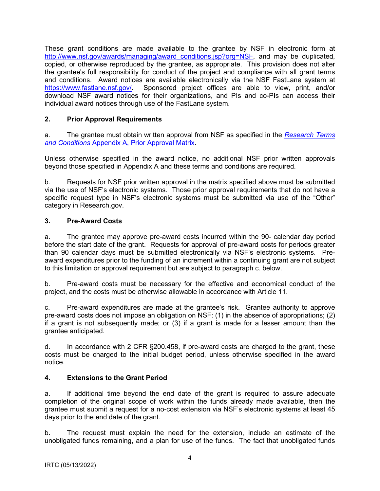<span id="page-3-0"></span>These grant conditions are made available to the grantee by NSF in electronic form at http://www.nsf.gov/awards/managing/award\_conditions.jsp?org=NSF, and may be duplicated, copied, or otherwise reproduced by the grantee, as appropriate. This provision does not alter the grantee's full responsibility for conduct of the project and compliance with all grant terms and conditions. Award notices are available electronically via the NSF FastLane system at <https://www.fastlane.nsf.gov/>**.** Sponsored project offices are able to view, print, and/or download NSF award notices for their organizations, and PIs and co-PIs can access their individual award notices through use of the FastLane system.

## **2. Prior Approval Requirements**

a. The grantee must obtain written approval from NSF as specified in the *[Research Terms](https://nsf.gov/awards/managing/rtc.jsp)  and Conditions* [Appendix A, Prior Approval Matrix.](https://nsf.gov/awards/managing/rtc.jsp)

Unless otherwise specified in the award notice, no additional NSF prior written approvals beyond those specified in Appendix A and these terms and conditions are required.

b. Requests for NSF prior written approval in the matrix specified above must be submitted via the use of NSF's electronic systems. Those prior approval requirements that do not have a specific request type in NSF's electronic systems must be submitted via use of the "Other" category in Research.gov.

## **3. Pre-Award Costs**

a. The grantee may approve pre-award costs incurred within the 90- calendar day period before the start date of the grant. Requests for approval of pre-award costs for periods greater than 90 calendar days must be submitted electronically via NSF's electronic systems. Preaward expenditures prior to the funding of an increment within a continuing grant are not subject to this limitation or approval requirement but are subject to paragraph c. below.

b. Pre-award costs must be necessary for the effective and economical conduct of the project, and the costs must be otherwise allowable in accordance with Article 11.

c. Pre-award expenditures are made at the grantee's risk. Grantee authority to approve pre-award costs does not impose an obligation on NSF: (1) in the absence of appropriations; (2) if a grant is not subsequently made; or (3) if a grant is made for a lesser amount than the grantee anticipated.

d. In accordance with 2 CFR §200.458, if pre-award costs are charged to the grant, these costs must be charged to the initial budget period, unless otherwise specified in the award notice.

## **4. Extensions to the Grant Period**

a. If additional time beyond the end date of the grant is required to assure adequate completion of the original scope of work within the funds already made available, then the grantee must submit a request for a no-cost extension via NSF's electronic systems at least 45 days prior to the end date of the grant.

b. The request must explain the need for the extension, include an estimate of the unobligated funds remaining, and a plan for use of the funds. The fact that unobligated funds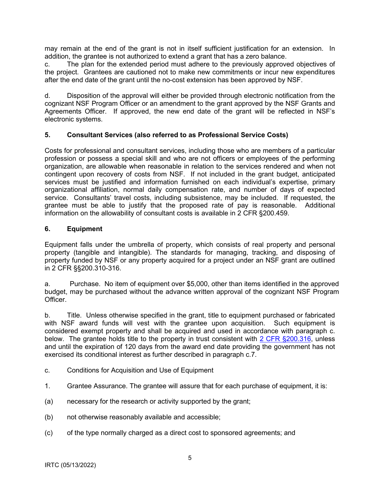<span id="page-4-0"></span>may remain at the end of the grant is not in itself sufficient justification for an extension. In addition, the grantee is not authorized to extend a grant that has a zero balance.

c. The plan for the extended period must adhere to the previously approved objectives of the project. Grantees are cautioned not to make new commitments or incur new expenditures after the end date of the grant until the no-cost extension has been approved by NSF.

d. Disposition of the approval will either be provided through electronic notification from the cognizant NSF Program Officer or an amendment to the grant approved by the NSF Grants and Agreements Officer. If approved, the new end date of the grant will be reflected in NSF's electronic systems.

### **5. Consultant Services (also referred to as Professional Service Costs)**

Costs for professional and consultant services, including those who are members of a particular profession or possess a special skill and who are not officers or employees of the performing organization, are allowable when reasonable in relation to the services rendered and when not contingent upon recovery of costs from NSF. If not included in the grant budget, anticipated services must be justified and information furnished on each individual's expertise, primary organizational affiliation, normal daily compensation rate, and number of days of expected service. Consultants' travel costs, including subsistence, may be included. If requested, the grantee must be able to justify that the proposed rate of pay is reasonable. Additional information on the allowability of consultant costs is available in 2 CFR §200.459.

### **6. Equipment**

Equipment falls under the umbrella of property, which consists of real property and personal property (tangible and intangible). The standards for managing, tracking, and disposing of property funded by NSF or any property acquired for a project under an NSF grant are outlined in 2 CFR §§200.310-316.

a. Purchase. No item of equipment over \$5,000, other than items identified in the approved budget, may be purchased without the advance written approval of the cognizant NSF Program **Officer** 

b. Title. Unless otherwise specified in the grant, title to equipment purchased or fabricated with NSF award funds will vest with the grantee upon acquisition. Such equipment is considered exempt property and shall be acquired and used in accordance with paragraph c. below. The grantee holds title to the property in trust consistent with [2 CFR §200.316,](http://a257.g.akamaitech.net/7/257/2422/15mar20071500/edocket.access.gpo.gov/cfr_2007/janqtr/pdf/2cfr215.34.pdf) unless and until the expiration of 120 days from the award end date providing the government has not exercised its conditional interest as further described in paragraph c.7.

- c. Conditions for Acquisition and Use of Equipment
- 1. Grantee Assurance. The grantee will assure that for each purchase of equipment, it is:
- (a) necessary for the research or activity supported by the grant;
- (b) not otherwise reasonably available and accessible;
- (c) of the type normally charged as a direct cost to sponsored agreements; and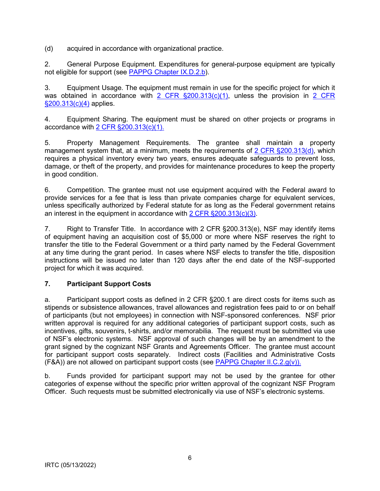<span id="page-5-0"></span>(d) acquired in accordance with organizational practice.

2. General Purpose Equipment. Expenditures for general-purpose equipment are typically not eligible for support (see [PAPPG Chapter IX.D.2.b\)](https://www.nsf.gov/pubs/policydocs/pappg22_1/pappg_9.jsp#IXD2).

3. Equipment Usage. The equipment must remain in use for the specific project for which it was obtained in accordance with [2 CFR](http://a257.g.akamaitech.net/7/257/2422/15mar20071500/edocket.access.gpo.gov/cfr_2007/janqtr/pdf/2cfr215.34.pdf)  $\S 200.313(c)(1)$ , unless the provision in 2 CFR [§200.313\(c\)\(4\)](http://a257.g.akamaitech.net/7/257/2422/15mar20071500/edocket.access.gpo.gov/cfr_2007/janqtr/pdf/2cfr215.34.pdf) applies.

4. Equipment Sharing. The equipment must be shared on other projects or programs in accordance with [2 CFR §200.313\(c\)\(1\).](http://a257.g.akamaitech.net/7/257/2422/15mar20071500/edocket.access.gpo.gov/cfr_2007/janqtr/pdf/2cfr215.34.pdf)

5. Property Management Requirements. The grantee shall maintain a property management system that, at a minimum, meets the requirements of [2 CFR §200.313\(d\),](http://a257.g.akamaitech.net/7/257/2422/15mar20071500/edocket.access.gpo.gov/cfr_2007/janqtr/pdf/2cfr215.34.pdf) which requires a physical inventory every two years, ensures adequate safeguards to prevent loss, damage, or theft of the property, and provides for maintenance procedures to keep the property in good condition.

6. Competition. The grantee must not use equipment acquired with the Federal award to provide services for a fee that is less than private companies charge for equivalent services, unless specifically authorized by Federal statute for as long as the Federal government retains an interest in the equipment in accordance with [2 CFR §200.313\(c\)\(3\).](http://a257.g.akamaitech.net/7/257/2422/15mar20071500/edocket.access.gpo.gov/cfr_2007/janqtr/pdf/2cfr215.34.pdf)

7. Right to Transfer Title. In accordance with 2 CFR §200.313(e), NSF may identify items of equipment having an acquisition cost of \$5,000 or more where NSF reserves the right to transfer the title to the Federal Government or a third party named by the Federal Government at any time during the grant period. In cases where NSF elects to transfer the title, disposition instructions will be issued no later than 120 days after the end date of the NSF-supported project for which it was acquired.

## **7. Participant Support Costs**

a. Participant support costs as defined in 2 CFR §200.1 are direct costs for items such as stipends or subsistence allowances, travel allowances and registration fees paid to or on behalf of participants (but not employees) in connection with NSF-sponsored conferences. NSF prior written approval is required for any additional categories of participant support costs, such as incentives, gifts, souvenirs, t-shirts, and/or memorabilia. The request must be submitted via use of NSF's electronic systems. NSF approval of such changes will be by an amendment to the grant signed by the cognizant NSF Grants and Agreements Officer. The grantee must account for participant support costs separately. Indirect costs (Facilities and Administrative Costs  $(FBA)$ ) are not allowed on participant support costs (see [PAPPG Chapter II.C.2.g\(v\)\).](https://www.nsf.gov/pubs/policydocs/pappg22_1/pappg_2.jsp#IIC2gv)

b. Funds provided for participant support may not be used by the grantee for other categories of expense without the specific prior written approval of the cognizant NSF Program Officer. Such requests must be submitted electronically via use of NSF's electronic systems.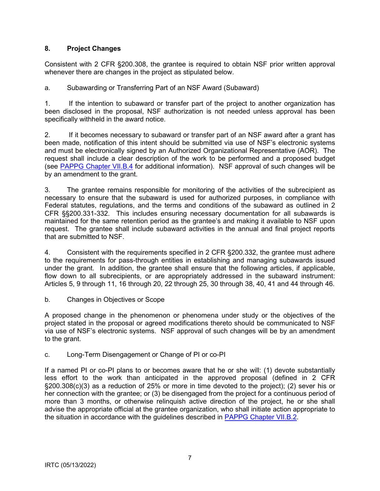## <span id="page-6-0"></span>**8. Project Changes**

Consistent with 2 CFR §200.308, the grantee is required to obtain NSF prior written approval whenever there are changes in the project as stipulated below.

a. Subawarding or Transferring Part of an NSF Award (Subaward)

1. If the intention to subaward or transfer part of the project to another organization has been disclosed in the proposal, NSF authorization is not needed unless approval has been specifically withheld in the award notice.

2. If it becomes necessary to subaward or transfer part of an NSF award after a grant has been made, notification of this intent should be submitted via use of NSF's electronic systems and must be electronically signed by an Authorized Organizational Representative (AOR). The request shall include a clear description of the work to be performed and a proposed budget (see [PAPPG Chapter VII.B.4](https://www.nsf.gov/pubs/policydocs/pappg22_1/pappg_7.jsp#VIIB4) for additional information). NSF approval of such changes will be by an amendment to the grant.

3. The grantee remains responsible for monitoring of the activities of the subrecipient as necessary to ensure that the subaward is used for authorized purposes, in compliance with Federal statutes, regulations, and the terms and conditions of the subaward as outlined in 2 CFR §§200.331-332. This includes ensuring necessary documentation for all subawards is maintained for the same retention period as the grantee's and making it available to NSF upon request. The grantee shall include subaward activities in the annual and final project reports that are submitted to NSF.

4. Consistent with the requirements specified in 2 CFR §200.332, the grantee must adhere to the requirements for pass-through entities in establishing and managing subawards issued under the grant. In addition, the grantee shall ensure that the following articles, if applicable, flow down to all subrecipients, or are appropriately addressed in the subaward instrument: Articles 5, 9 through 11, 16 through 20, 22 through 25, 30 through 38, 40, 41 and 44 through 46.

b. Changes in Objectives or Scope

A proposed change in the phenomenon or phenomena under study or the objectives of the project stated in the proposal or agreed modifications thereto should be communicated to NSF via use of NSF's electronic systems. NSF approval of such changes will be by an amendment to the grant.

## c. Long-Term Disengagement or Change of PI or co-PI

If a named PI or co-PI plans to or becomes aware that he or she will: (1) devote substantially less effort to the work than anticipated in the approved proposal (defined in 2 CFR §200.308(c)(3) as a reduction of 25% or more in time devoted to the project); (2) sever his or her connection with the grantee; or (3) be disengaged from the project for a continuous period of more than 3 months, or otherwise relinquish active direction of the project, he or she shall advise the appropriate official at the grantee organization, who shall initiate action appropriate to the situation in accordance with the guidelines described in [PAPPG Chapter VII.B.2.](https://www.nsf.gov/pubs/policydocs/pappg22_1/pappg_7.jsp#VIIB2)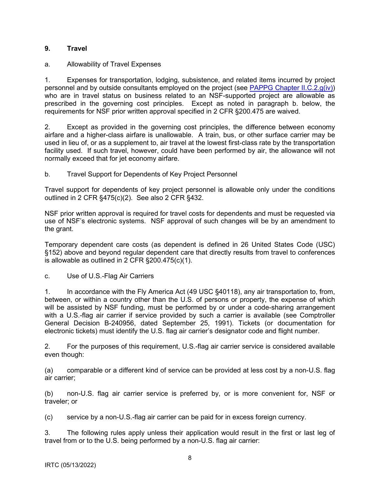### <span id="page-7-0"></span>**9. Travel**

### a. Allowability of Travel Expenses

1. Expenses for transportation, lodging, subsistence, and related items incurred by project personnel and by outside consultants employed on the project (see [PAPPG Chapter II.C.2.g\(iv\)\)](https://www.nsf.gov/pubs/policydocs/pappg22_1/pappg_2.jsp#IIC2giv) who are in travel status on business related to an NSF-supported project are allowable as prescribed in the governing cost principles. Except as noted in paragraph b. below, the requirements for NSF prior written approval specified in 2 CFR §200.475 are waived.

2. Except as provided in the governing cost principles, the difference between economy airfare and a higher-class airfare is unallowable. A train, bus, or other surface carrier may be used in lieu of, or as a supplement to, air travel at the lowest first-class rate by the transportation facility used. If such travel, however, could have been performed by air, the allowance will not normally exceed that for jet economy airfare.

### b. Travel Support for Dependents of Key Project Personnel

Travel support for dependents of key project personnel is allowable only under the conditions outlined in 2 CFR §475(c)(2). See also 2 CFR §432.

NSF prior written approval is required for travel costs for dependents and must be requested via use of NSF's electronic systems. NSF approval of such changes will be by an amendment to the grant.

Temporary dependent care costs (as dependent is defined in 26 United States Code (USC) §152) above and beyond regular dependent care that directly results from travel to conferences is allowable as outlined in 2 CFR §200.475(c)(1).

c. Use of U.S.-Flag Air Carriers

1. In accordance with the Fly America Act (49 USC §40118), any air transportation to, from, between, or within a country other than the U.S. of persons or property, the expense of which will be assisted by NSF funding, must be performed by or under a code-sharing arrangement with a U.S.-flag air carrier if service provided by such a carrier is available (see Comptroller General Decision B-240956, dated September 25, 1991). Tickets (or documentation for electronic tickets) must identify the U.S. flag air carrier's designator code and flight number.

2. For the purposes of this requirement, U.S.-flag air carrier service is considered available even though:

(a) comparable or a different kind of service can be provided at less cost by a non-U.S. flag air carrier;

(b) non-U.S. flag air carrier service is preferred by, or is more convenient for, NSF or traveler; or

(c) service by a non-U.S.-flag air carrier can be paid for in excess foreign currency.

3. The following rules apply unless their application would result in the first or last leg of travel from or to the U.S. being performed by a non-U.S. flag air carrier: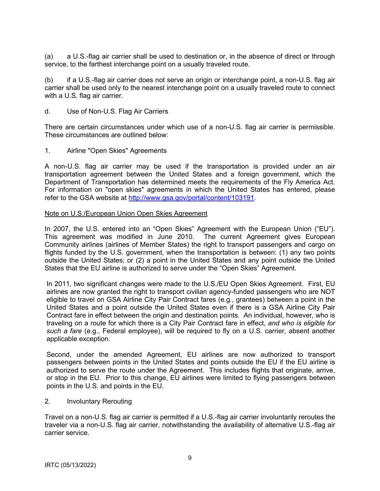(a) a U.S.-flag air carrier shall be used to destination or, in the absence of direct or through service, to the farthest interchange point on a usually traveled route.

(b) if a U.S.-flag air carrier does not serve an origin or interchange point, a non-U.S. flag air carrier shall be used only to the nearest interchange point on a usually traveled route to connect with a U.S. flag air carrier.

d. Use of Non-U.S. Flag Air Carriers

There are certain circumstances under which use of a non-U.S. flag air carrier is permissible. These circumstances are outlined below:

1. Airline "Open Skies" Agreements

A non-U.S. flag air carrier may be used if the transportation is provided under an air transportation agreement between the United States and a foreign government, which the Department of Transportation has determined meets the requirements of the Fly America Act. For information on "open skies" agreements in which the United States has entered, please refer to the GSA website at [http://www.gsa.gov/portal/content/103191.](http://www.gsa.gov/portal/content/103191)

#### Note on U.S./European Union Open Skies Agreement

In 2007, the U.S. entered into an "Open Skies" Agreement with the European Union ("EU"). This agreement was modified in June 2010. The current Agreement gives European Community airlines (airlines of Member States) the right to transport passengers and cargo on flights funded by the U.S. government, when the transportation is between: (1) any two points outside the United States; or (2) a point in the United States and any point outside the United States that the EU airline is authorized to serve under the "Open Skies" Agreement.

In 2011, two significant changes were made to the U.S./EU Open Skies Agreement. First, EU airlines are now granted the right to transport civilian agency-funded passengers who are NOT eligible to travel on GSA Airline City Pair Contract fares (e.g., grantees) between a point in the United States and a point outside the United States even if there is a GSA Airline City Pair Contract fare in effect between the origin and destination points. An individual, however, who is traveling on a route for which there is a City Pair Contract fare in effect, *and who is eligible for such a fare* (e.g., Federal employee), will be required to fly on a U.S. carrier, absent another applicable exception.

Second, under the amended Agreement, EU airlines are now authorized to transport passengers between points in the United States and points outside the EU if the EU airline is authorized to serve the route under the Agreement. This includes flights that originate, arrive, or stop in the EU. Prior to this change, EU airlines were limited to flying passengers between points in the U.S. and points in the EU.

2. Involuntary Rerouting

Travel on a non-U.S. flag air carrier is permitted if a U.S.-flag air carrier involuntarily reroutes the traveler via a non-U.S. flag air carrier, notwithstanding the availability of alternative U.S.-flag air carrier service.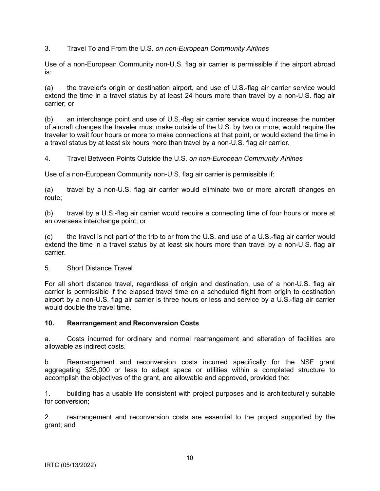<span id="page-9-0"></span>3. Travel To and From the U.S. *on non-European Community Airlines*

Use of a non-European Community non-U.S. flag air carrier is permissible if the airport abroad is:

(a) the traveler's origin or destination airport, and use of U.S.-flag air carrier service would extend the time in a travel status by at least 24 hours more than travel by a non-U.S. flag air carrier; or

(b) an interchange point and use of U.S.-flag air carrier service would increase the number of aircraft changes the traveler must make outside of the U.S. by two or more, would require the traveler to wait four hours or more to make connections at that point, or would extend the time in a travel status by at least six hours more than travel by a non-U.S. flag air carrier.

4. Travel Between Points Outside the U.S. *on non-European Community Airlines*

Use of a non-European Community non-U.S. flag air carrier is permissible if:

(a) travel by a non-U.S. flag air carrier would eliminate two or more aircraft changes en route;

(b) travel by a U.S.-flag air carrier would require a connecting time of four hours or more at an overseas interchange point; or

(c) the travel is not part of the trip to or from the U.S. and use of a U.S.-flag air carrier would extend the time in a travel status by at least six hours more than travel by a non-U.S. flag air carrier.

5. Short Distance Travel

For all short distance travel, regardless of origin and destination, use of a non-U.S. flag air carrier is permissible if the elapsed travel time on a scheduled flight from origin to destination airport by a non-U.S. flag air carrier is three hours or less and service by a U.S.-flag air carrier would double the travel time.

#### **10. Rearrangement and Reconversion Costs**

a. Costs incurred for ordinary and normal rearrangement and alteration of facilities are allowable as indirect costs.

b. Rearrangement and reconversion costs incurred specifically for the NSF grant aggregating \$25,000 or less to adapt space or utilities within a completed structure to accomplish the objectives of the grant, are allowable and approved, provided the:

1. building has a usable life consistent with project purposes and is architecturally suitable for conversion;

2. rearrangement and reconversion costs are essential to the project supported by the grant; and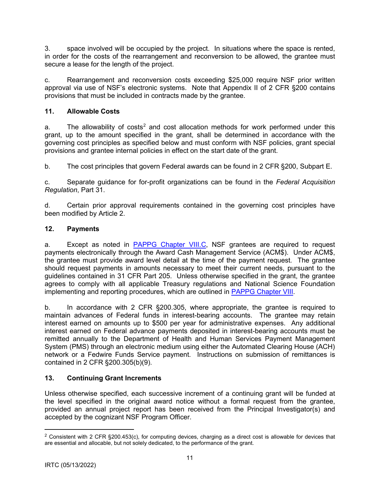<span id="page-10-0"></span>3. space involved will be occupied by the project. In situations where the space is rented, in order for the costs of the rearrangement and reconversion to be allowed, the grantee must secure a lease for the length of the project.

c. Rearrangement and reconversion costs exceeding \$25,000 require NSF prior written approval via use of NSF's electronic systems. Note that Appendix II of 2 CFR §200 contains provisions that must be included in contracts made by the grantee.

# **11. Allowable Costs**

a. The allowability of costs<sup>2</sup> and cost allocation methods for work performed under this grant, up to the amount specified in the grant, shall be determined in accordance with the governing cost principles as spe[c](#page-10-1)ified below and must conform with NSF policies, grant special provisions and grantee internal policies in effect on the start date of the grant.

b. The cost principles that govern Federal awards can be found in 2 CFR §200, Subpart E.

c. Separate guidance for for-profit organizations can be found in the *Federal Acquisition Regulation*, Part 31.

d. Certain prior approval requirements contained in the governing cost principles have been modified by Article 2.

# **12. Payments**

a. Except as noted in PAPPG Chapter VIII.C, NSF grantees are required to request payments electronically through the Award Cash Management Service (ACM\$). Under ACM\$, the grantee must provide a[ward level detail at the tim](https://www.nsf.gov/pubs/policydocs/pappg22_1/pappg_8.jsp#VIIIC)e of the payment request. The grantee should request payments in amounts necessary to meet their current needs, pursuant to the guidelines contained in 31 CFR Part 205. Unless otherwise specified in the grant, the grantee agrees to comply with all applicable Treasury regulations and National Science Foundation implementing and reporting procedures, which are outlined in PAPPG Chapter VIII.

b. In accordance with 2 CFR §200.305, where appro[priate, the grantee](https://www.nsf.gov/pubs/policydocs/pappg22_1/pappg_8.jsp) is required to maintain advances of Federal funds in interest-bearing accounts. The grantee may retain interest earned on amounts up to \$500 per year for administrative expenses. Any additional interest earned on Federal advance payments deposited in interest-bearing accounts must be remitted annually to the Department of Health and Human Services Payment Management System (PMS) through an electronic medium using either the Automated Clearing House (ACH) network or a Fedwire Funds Service payment. Instructions on submission of remittances is contained in 2 CFR §200.305(b)(9).

# **13. Continuing Grant Increments**

Unless otherwise specified, each successive increment of a continuing grant will be funded at the level specified in the original award notice without a formal request from the grantee, provided an annual project report has been received from the Principal Investigator(s) and accepted by the cognizant NSF Program Officer.

<span id="page-10-1"></span><sup>&</sup>lt;sup>2</sup> Consistent with 2 CFR §200.453(c), for computing devices, charging as a direct cost is allowable for devices that are essential and allocable, but not solely dedicated, to the performance of the grant.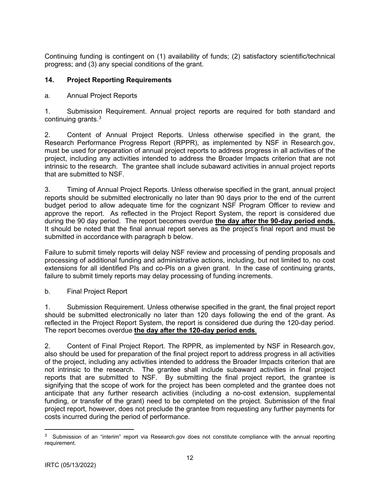<span id="page-11-0"></span>Continuing funding is contingent on (1) availability of funds; (2) satisfactory scientific/technical progress; and (3) any special conditions of the grant.

## **14. Project Reporting Requirements**

## a. Annual Project Reports

1. Submission Requirement. Annual project reports are required for both standard and continuing grants.3

2. Content [of](#page-11-1) Annual Project Reports. Unless otherwise specified in the grant, the Research Performance Progress Report (RPPR), as implemented by NSF in Research.gov, must be used for preparation of annual project reports to address progress in all activities of the project, including any activities intended to address the Broader Impacts criterion that are not intrinsic to the research. The grantee shall include subaward activities in annual project reports that are submitted to NSF.

3. Timing of Annual Project Reports. Unless otherwise specified in the grant, annual project reports should be submitted electronically no later than 90 days prior to the end of the current budget period to allow adequate time for the cognizant NSF Program Officer to review and approve the report. As reflected in the Project Report System, the report is considered due during the 90 day period. The report becomes overdue **the day after the 90-day period ends.** It should be noted that the final annual report serves as the project's final report and must be submitted in accordance with paragraph b below.

Failure to submit timely reports will delay NSF review and processing of pending proposals and processing of additional funding and administrative actions, including, but not limited to, no cost extensions for all identified PIs and co-PIs on a given grant. In the case of continuing grants, failure to submit timely reports may delay processing of funding increments.

b. Final Project Report

1. Submission Requirement. Unless otherwise specified in the grant, the final project report should be submitted electronically no later than 120 days following the end of the grant. As reflected in the Project Report System, the report is considered due during the 120-day period. The report becomes overdue **the day after the 120-day period ends**.

2. Content of Final Project Report. The RPPR, as implemented by NSF in Research.gov, also should be used for preparation of the final project report to address progress in all activities of the project, including any activities intended to address the Broader Impacts criterion that are not intrinsic to the research. The grantee shall include subaward activities in final project reports that are submitted to NSF. By submitting the final project report, the grantee is signifying that the scope of work for the project has been completed and the grantee does not anticipate that any further research activities (including a no-cost extension, supplemental funding, or transfer of the grant) need to be completed on the project. Submission of the final project report, however, does not preclude the grantee from requesting any further payments for costs incurred during the period of performance.

<span id="page-11-1"></span><sup>&</sup>lt;sup>3</sup> Submission of an "interim" report via Research.gov does not constitute compliance with the annual reporting requirement.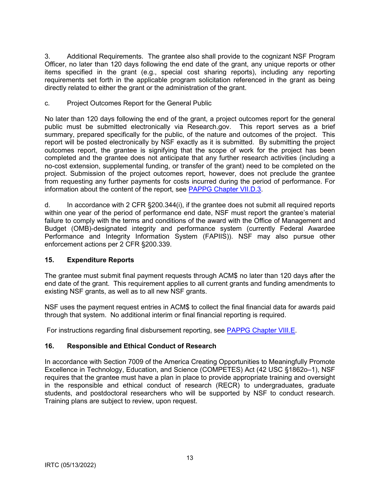<span id="page-12-0"></span>3. Additional Requirements. The grantee also shall provide to the cognizant NSF Program Officer, no later than 120 days following the end date of the grant, any unique reports or other items specified in the grant (e.g., special cost sharing reports), including any reporting requirements set forth in the applicable program solicitation referenced in the grant as being directly related to either the grant or the administration of the grant.

### c*.* Project Outcomes Report for the General Public

No later than 120 days following the end of the grant, a project outcomes report for the general public must be submitted electronically via Research.gov. This report serves as a brief summary, prepared specifically for the public, of the nature and outcomes of the project. This report will be posted electronically by NSF exactly as it is submitted. By submitting the project outcomes report, the grantee is signifying that the scope of work for the project has been completed and the grantee does not anticipate that any further research activities (including a no-cost extension, supplemental funding, or transfer of the grant) need to be completed on the project. Submission of the project outcomes report, however, does not preclude the grantee from requesting any further payments for costs incurred during the period of performance. For information about the content of the report, see PAPPG Chapter VII.D.3.

d. In accordance with 2 CFR §200.344(i), [if the grantee does not su](https://www.nsf.gov/pubs/policydocs/pappg22_1/pappg_7.jsp#VIID3)bmit all required reports within one year of the period of performance end date, NSF must report the grantee's material failure to comply with the terms and conditions of the award with the Office of Management and Budget (OMB)-designated integrity and performance system (currently Federal Awardee Performance and Integrity Information System (FAPIIS)). NSF may also pursue other enforcement actions per 2 CFR §200.339.

## **15. Expenditure Reports**

The grantee must submit final payment requests through ACM\$ no later than 120 days after the end date of the grant. This requirement applies to all current grants and funding amendments to existing NSF grants, as well as to all new NSF grants.

NSF uses the payment request entries in ACM\$ to collect the final financial data for awards paid through that system. No additional interim or final financial reporting is required.

For instructions regarding final disbursement reporting, see PAPPG Chapter VIII.E.

## **16. Responsible and Ethical Conduct of Research**

In accordance with Section 7009 of the America Creating Opportunities to Meaningfully Promote Excellence in Technology, Education, and Science (COMPETES) Act (42 USC §1862o–1), NSF requires that the grantee must have a plan in place to provide appropriate training and oversight in the responsible and ethical conduct of research (RECR) to undergraduates, graduate students, and postdoctoral researchers who will be supported by NSF to conduct research. Training plans are subject to review, upon request.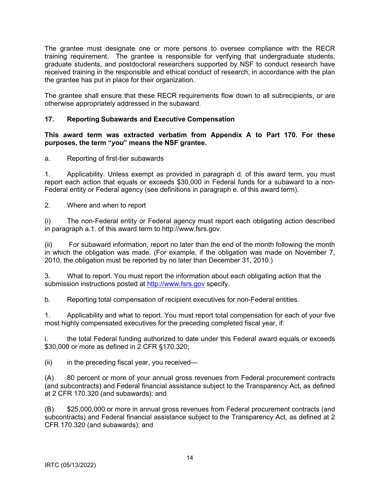<span id="page-13-0"></span>The grantee must designate one or more persons to oversee compliance with the RECR training requirement. The grantee is responsible for verifying that undergraduate students, graduate students, and postdoctoral researchers supported by NSF to conduct research have received training in the responsible and ethical conduct of research, in accordance with the plan the grantee has put in place for their organization.

The grantee shall ensure that these RECR requirements flow down to all subrecipients, or are otherwise appropriately addressed in the subaward.

### **17. Reporting Subawards and Executive Compensation**

**This award term was extracted verbatim from Appendix A to Part 170. For these purposes, the term "***you***" means the NSF grantee.**

a. Reporting of first-tier subawards

1. Applicability. Unless exempt as provided in paragraph d. of this award term, you must report each action that equals or exceeds \$30,000 in Federal funds for a subaward to a non-Federal entity or Federal agency (see definitions in paragraph e. of this award term).

2. Where and when to report

(i) The non-Federal entity or Federal agency must report each obligating action described in paragraph a.1. of this award term to http://www.fsrs.gov.

(ii) For subaward information, report no later than the end of the month following the month in which the obligation was made. (For example, if the obligation was made on November 7, 2010, the obligation must be reported by no later than December 31, 2010.)

3. What to report. You must report the information about each obligating action that the submission instructions posted at [http://www.fsrs.gov](http://www.fsrs.gov/) specify.

b. Reporting total compensation of recipient executives for non-Federal entities.

1. Applicability and what to report. You must report total compensation for each of your five most highly compensated executives for the preceding completed fiscal year, if:

i. the total Federal funding authorized to date under this Federal award equals or exceeds \$30,000 or more as defined in 2 CFR §170.320;

 $(ii)$  in the preceding fiscal year, you received—

(A) 80 percent or more of your annual gross revenues from Federal procurement contracts (and subcontracts) and Federal financial assistance subject to the Transparency Act, as defined at 2 CFR 170.320 (and subawards); and

(B) \$25,000,000 or more in annual gross revenues from Federal procurement contracts (and subcontracts) and Federal financial assistance subject to the Transparency Act, as defined at 2 CFR 170.320 (and subawards); and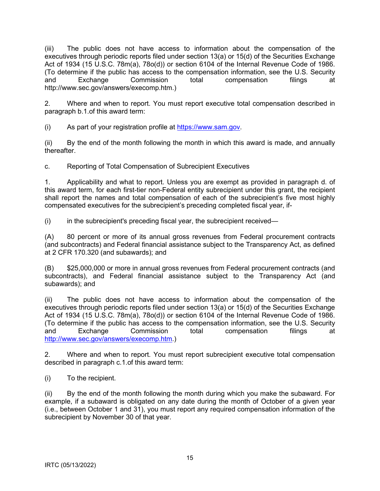(iii) The public does not have access to information about the compensation of the executives through periodic reports filed under section 13(a) or 15(d) of the Securities Exchange Act of 1934 (15 U.S.C. 78m(a), 78o(d)) or section 6104 of the Internal Revenue Code of 1986. (To determine if the public has access to the compensation information, see the U.S. Security and Exchange Commission total compensation filings at http://www.sec.gov/answers/execomp.htm.)

2. Where and when to report. You must report executive total compensation described in paragraph b.1.of this award term:

(i) As part of your registration profile at [https://www.sam.gov.](https://www.sam.gov/)

(ii) By the end of the month following the month in which this award is made, and annually thereafter.

c. Reporting of Total Compensation of Subrecipient Executives

1. Applicability and what to report. Unless you are exempt as provided in paragraph d. of this award term, for each first-tier non-Federal entity subrecipient under this grant, the recipient shall report the names and total compensation of each of the subrecipient's five most highly compensated executives for the subrecipient's preceding completed fiscal year, if-

(i) in the subrecipient's preceding fiscal year, the subrecipient received—

(A) 80 percent or more of its annual gross revenues from Federal procurement contracts (and subcontracts) and Federal financial assistance subject to the Transparency Act, as defined at 2 CFR 170.320 (and subawards); and

(B) \$25,000,000 or more in annual gross revenues from Federal procurement contracts (and subcontracts), and Federal financial assistance subject to the Transparency Act (and subawards); and

(ii) The public does not have access to information about the compensation of the executives through periodic reports filed under section 13(a) or 15(d) of the Securities Exchange Act of 1934 (15 U.S.C. 78m(a), 78o(d)) or section 6104 of the Internal Revenue Code of 1986. (To determine if the public has access to the compensation information, see the U.S. Security and Exchange Commission total compensation filings at [http://www.sec.gov/answers/execomp.htm.](http://www.sec.gov/answers/execomp.htm))

2. Where and when to report. You must report subrecipient executive total compensation described in paragraph c.1.of this award term:

(i) To the recipient.

(ii) By the end of the month following the month during which you make the subaward. For example, if a subaward is obligated on any date during the month of October of a given year (i.e., between October 1 and 31), you must report any required compensation information of the subrecipient by November 30 of that year.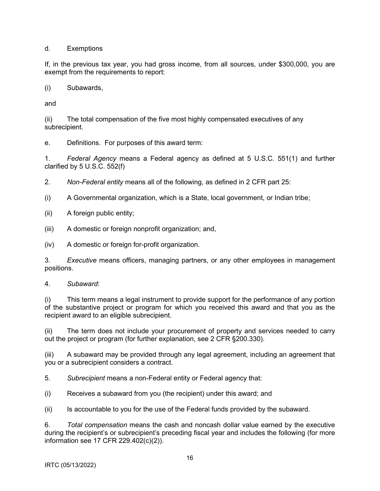d. Exemptions

If, in the previous tax year, you had gross income, from all sources, under \$300,000, you are exempt from the requirements to report:

(i) Subawards,

and

(ii) The total compensation of the five most highly compensated executives of any subrecipient.

e. Definitions. For purposes of this award term:

1. *Federal Agency* means a Federal agency as defined at 5 U.S.C. 551(1) and further clarified by 5 U.S.C. 552(f)

2. *Non-Federal entity* means all of the following, as defined in 2 CFR part 25:

(i) A Governmental organization, which is a State, local government, or Indian tribe;

(ii) A foreign public entity;

(iii) A domestic or foreign nonprofit organization; and,

(iv) A domestic or foreign for-profit organization.

3. *Executive* means officers, managing partners, or any other employees in management positions.

4. *Subaward*:

(i) This term means a legal instrument to provide support for the performance of any portion of the substantive project or program for which you received this award and that you as the recipient award to an eligible subrecipient.

(ii) The term does not include your procurement of property and services needed to carry out the project or program (for further explanation, see 2 CFR §200.330).

(iii) A subaward may be provided through any legal agreement, including an agreement that you or a subrecipient considers a contract.

5. *Subrecipient* means a non-Federal entity or Federal agency that:

(i) Receives a subaward from you (the recipient) under this award; and

(ii) Is accountable to you for the use of the Federal funds provided by the subaward.

6. *Total compensation* means the cash and noncash dollar value earned by the executive during the recipient's or subrecipient's preceding fiscal year and includes the following (for more information see 17 CFR 229.402(c)(2)).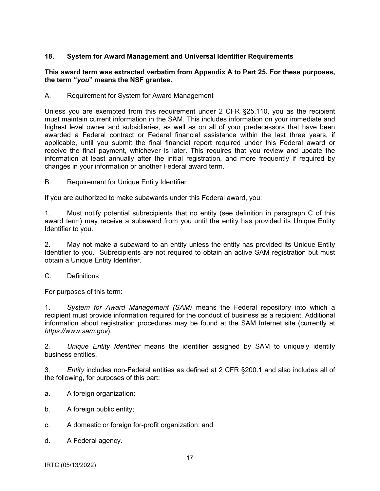### <span id="page-16-0"></span>**18. System for Award Management and Universal Identifier Requirements**

#### **This award term was extracted verbatim from Appendix A to Part 25. For these purposes, the term "***you***" means the NSF grantee.**

A. Requirement for System for Award Management

Unless you are exempted from this requirement under 2 CFR §25.110, you as the recipient must maintain current information in the SAM. This includes information on your immediate and highest level owner and subsidiaries, as well as on all of your predecessors that have been awarded a Federal contract or Federal financial assistance within the last three years, if applicable, until you submit the final financial report required under this Federal award or receive the final payment, whichever is later. This requires that you review and update the information at least annually after the initial registration, and more frequently if required by changes in your information or another Federal award term.

B. Requirement for Unique Entity Identifier

If you are authorized to make subawards under this Federal award, you:

1. Must notify potential subrecipients that no entity (see definition in paragraph C of this award term) may receive a subaward from you until the entity has provided its Unique Entity Identifier to you.

2. May not make a subaward to an entity unless the entity has provided its Unique Entity Identifier to you. Subrecipients are not required to obtain an active SAM registration but must obtain a Unique Entity Identifier.

C. Definitions

For purposes of this term:

1. *System for Award Management (SAM)* means the Federal repository into which a recipient must provide information required for the conduct of business as a recipient. Additional information about registration procedures may be found at the SAM Internet site (currently at *https://www.sam.gov*).

2*. Unique Entity Identifier* means the identifier assigned by SAM to uniquely identify business entities.

3*. Entity* includes non-Federal entities as defined at 2 CFR §200.1 and also includes all of the following, for purposes of this part:

- a. A foreign organization;
- b. A foreign public entity;
- c. A domestic or foreign for-profit organization; and
- d. A Federal agency.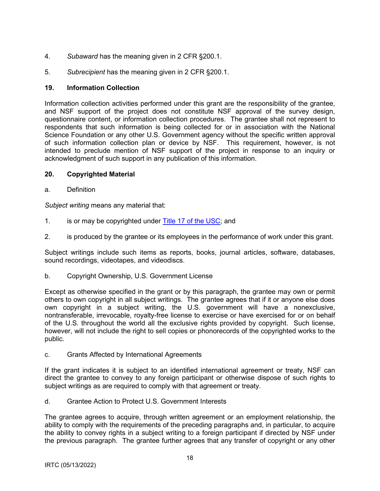- <span id="page-17-0"></span>4. *Subaward* has the meaning given in 2 CFR §200.1.
- 5. *Subrecipient* has the meaning given in 2 CFR §200.1.

### **19. Information Collection**

Information collection activities performed under this grant are the responsibility of the grantee, and NSF support of the project does not constitute NSF approval of the survey design, questionnaire content, or information collection procedures. The grantee shall not represent to respondents that such information is being collected for or in association with the National Science Foundation or any other U.S. Government agency without the specific written approval of such information collection plan or device by NSF. This requirement, however, is not intended to preclude mention of NSF support of the project in response to an inquiry or acknowledgment of such support in any publication of this information.

### **20. Copyrighted Material**

a. Definition

*Subject writing* means any material that:

- 1. is or may be copyrighted under [Title 17 of the USC;](http://www.copyright.gov/title17/) and
- 2. is produced by the grantee or its employees in the performance of work under this grant.

Subject writings include such items as reports, books, journal articles, software, databases, sound recordings, videotapes, and videodiscs.

b. Copyright Ownership, U.S. Government License

Except as otherwise specified in the grant or by this paragraph, the grantee may own or permit others to own copyright in all subject writings. The grantee agrees that if it or anyone else does own copyright in a subject writing, the U.S. government will have a nonexclusive, nontransferable, irrevocable, royalty-free license to exercise or have exercised for or on behalf of the U.S. throughout the world all the exclusive rights provided by copyright. Such license, however, will not include the right to sell copies or phonorecords of the copyrighted works to the public.

c. Grants Affected by International Agreements

If the grant indicates it is subject to an identified international agreement or treaty, NSF can direct the grantee to convey to any foreign participant or otherwise dispose of such rights to subject writings as are required to comply with that agreement or treaty.

d. Grantee Action to Protect U.S. Government Interests

The grantee agrees to acquire, through written agreement or an employment relationship, the ability to comply with the requirements of the preceding paragraphs and, in particular, to acquire the ability to convey rights in a subject writing to a foreign participant if directed by NSF under the previous paragraph. The grantee further agrees that any transfer of copyright or any other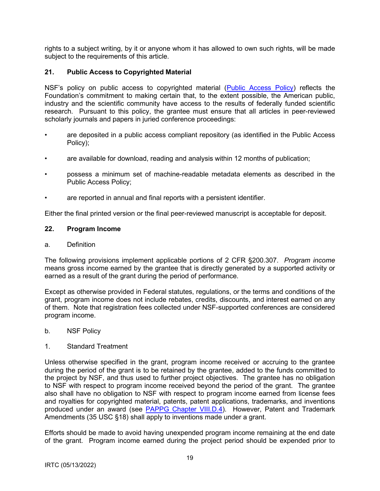<span id="page-18-0"></span>rights to a subject writing, by it or anyone whom it has allowed to own such rights, will be made subject to the requirements of this article.

### **21. Public Access to Copyrighted Material**

NSF's policy on public access to copyrighted material [\(Public Access Policy\)](http://www.nsf.gov/news/special_reports/public_access/) reflects the Foundation's commitment to making certain that, to the extent possible, the American public, industry and the scientific community have access to the results of federally funded scientific research. Pursuant to this policy, the grantee must ensure that all articles in peer-reviewed scholarly journals and papers in juried conference proceedings:

- are deposited in a public access compliant repository (as identified in the Public Access Policy);
- are available for download, reading and analysis within 12 months of publication;
- possess a minimum set of machine-readable metadata elements as described in the Public Access Policy;
- are reported in annual and final reports with a persistent identifier.

Either the final printed version or the final peer-reviewed manuscript is acceptable for deposit.

#### **22. Program Income**

#### a. Definition

The following provisions implement applicable portions of 2 CFR §200.307. *Program income* means gross income earned by the grantee that is directly generated by a supported activity or earned as a result of the grant during the period of performance.

Except as otherwise provided in Federal statutes, regulations, or the terms and conditions of the grant, program income does not include rebates, credits, discounts, and interest earned on any of them. Note that registration fees collected under NSF-supported conferences are considered program income.

b. NSF Policy

#### 1. Standard Treatment

Unless otherwise specified in the grant, program income received or accruing to the grantee during the period of the grant is to be retained by the grantee, added to the funds committed to the project by NSF, and thus used to further project objectives. The grantee has no obligation to NSF with respect to program income received beyond the period of the grant. The grantee also shall have no obligation to NSF with respect to program income earned from license fees and royalties for copyrighted material, patents, patent applications, trademarks, and inventions produced under an award (see [PAPPG Chapter VIII.D.4\)](https://www.nsf.gov/pubs/policydocs/pappg22_1/pappg_8.jsp#VIIID4). However, Patent and Trademark Amendments (35 USC §18) shall apply to inventions made under a grant.

Efforts should be made to avoid having unexpended program income remaining at the end date of the grant. Program income earned during the project period should be expended prior to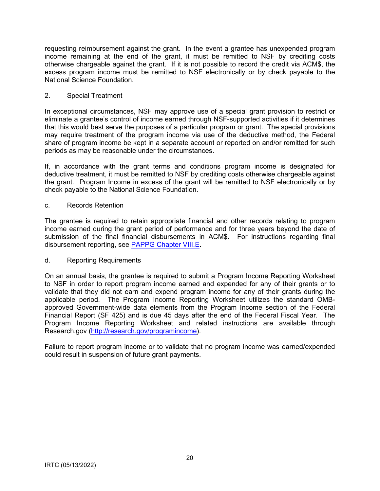requesting reimbursement against the grant. In the event a grantee has unexpended program income remaining at the end of the grant, it must be remitted to NSF by crediting costs otherwise chargeable against the grant. If it is not possible to record the credit via ACM\$, the excess program income must be remitted to NSF electronically or by check payable to the National Science Foundation.

### 2. Special Treatment

In exceptional circumstances, NSF may approve use of a special grant provision to restrict or eliminate a grantee's control of income earned through NSF-supported activities if it determines that this would best serve the purposes of a particular program or grant. The special provisions may require treatment of the program income via use of the deductive method, the Federal share of program income be kept in a separate account or reported on and/or remitted for such periods as may be reasonable under the circumstances.

If, in accordance with the grant terms and conditions program income is designated for deductive treatment, it must be remitted to NSF by crediting costs otherwise chargeable against the grant. Program Income in excess of the grant will be remitted to NSF electronically or by check payable to the National Science Foundation.

#### c. Records Retention

The grantee is required to retain appropriate financial and other records relating to program income earned during the grant period of performance and for three years beyond the date of submission of the final financial disbursements in ACM\$. For instructions regarding final disbursement reporting, see [PAPPG Chapter VIII.E.](https://www.nsf.gov/pubs/policydocs/pappg22_1/pappg_8.jsp#VIIIE)

### d. Reporting Requirements

On an annual basis, the grantee is required to submit a Program Income Reporting Worksheet to NSF in order to report program income earned and expended for any of their grants or to validate that they did not earn and expend program income for any of their grants during the applicable period. The Program Income Reporting Worksheet utilizes the standard OMBapproved Government-wide data elements from the Program Income section of the Federal Financial Report (SF 425) and is due 45 days after the end of the Federal Fiscal Year. The Program Income Reporting Worksheet and related instructions are available through Research.gov [\(http://research.gov/programincome\)](http://research.gov/programincome).

Failure to report program income or to validate that no program income was earned/expended could result in suspension of future grant payments.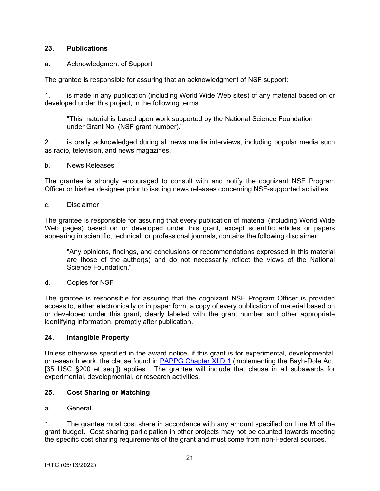### <span id="page-20-0"></span>**23. Publications**

### a*.* Acknowledgment of Support

The grantee is responsible for assuring that an acknowledgment of NSF support:

1. is made in any publication (including World Wide Web sites) of any material based on or developed under this project, in the following terms:

"This material is based upon work supported by the National Science Foundation under Grant No. (NSF grant number)."

2. is orally acknowledged during all news media interviews, including popular media such as radio, television, and news magazines.

b. News Releases

The grantee is strongly encouraged to consult with and notify the cognizant NSF Program Officer or his/her designee prior to issuing news releases concerning NSF-supported activities.

c. Disclaimer

The grantee is responsible for assuring that every publication of material (including World Wide Web pages) based on or developed under this grant, except scientific articles or papers appearing in scientific, technical, or professional journals, contains the following disclaimer:

"Any opinions, findings, and conclusions or recommendations expressed in this material are those of the author(s) and do not necessarily reflect the views of the National Science Foundation."

d. Copies for NSF

The grantee is responsible for assuring that the cognizant NSF Program Officer is provided access to, either electronically or in paper form, a copy of every publication of material based on or developed under this grant, clearly labeled with the grant number and other appropriate identifying information, promptly after publication.

### **24. Intangible Property**

Unless otherwise specified in the award notice, if this grant is for experimental, developmental, or research work, the clause found in [PAPPG Chapter XI.D.1](https://www.nsf.gov/pubs/policydocs/pappg22_1/pappg_11.jsp#XID1) (implementing the Bayh-Dole Act, [35 USC §200 et seq.]) applies. The grantee will include that clause in all subawards for experimental, developmental, or research activities.

## **25. Cost Sharing or Matching**

### a. General

1. The grantee must cost share in accordance with any amount specified on Line M of the grant budget. Cost sharing participation in other projects may not be counted towards meeting the specific cost sharing requirements of the grant and must come from non-Federal sources.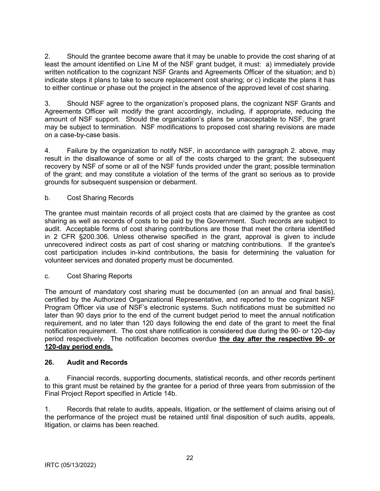<span id="page-21-0"></span>2. Should the grantee become aware that it may be unable to provide the cost sharing of at least the amount identified on Line M of the NSF grant budget, it must: a) immediately provide written notification to the cognizant NSF Grants and Agreements Officer of the situation; and b) indicate steps it plans to take to secure replacement cost sharing; or c) indicate the plans it has to either continue or phase out the project in the absence of the approved level of cost sharing.

3. Should NSF agree to the organization's proposed plans, the cognizant NSF Grants and Agreements Officer will modify the grant accordingly, including, if appropriate, reducing the amount of NSF support. Should the organization's plans be unacceptable to NSF, the grant may be subject to termination. NSF modifications to proposed cost sharing revisions are made on a case-by-case basis.

4. Failure by the organization to notify NSF, in accordance with paragraph 2. above, may result in the disallowance of some or all of the costs charged to the grant; the subsequent recovery by NSF of some or all of the NSF funds provided under the grant; possible termination of the grant; and may constitute a violation of the terms of the grant so serious as to provide grounds for subsequent suspension or debarment.

### b. Cost Sharing Records

The grantee must maintain records of all project costs that are claimed by the grantee as cost sharing as well as records of costs to be paid by the Government. Such records are subject to audit. Acceptable forms of cost sharing contributions are those that meet the criteria identified in 2 CFR §200.306. Unless otherwise specified in the grant, approval is given to include unrecovered indirect costs as part of cost sharing or matching contributions. If the grantee's cost participation includes in-kind contributions, the basis for determining the valuation for volunteer services and donated property must be documented.

### c. Cost Sharing Reports

The amount of mandatory cost sharing must be documented (on an annual and final basis), certified by the Authorized Organizational Representative, and reported to the cognizant NSF Program Officer via use of NSF's electronic systems. Such notifications must be submitted no later than 90 days prior to the end of the current budget period to meet the annual notification requirement, and no later than 120 days following the end date of the grant to meet the final notification requirement. The cost share notification is considered due during the 90- or 120-day period respectively. The notification becomes overdue **the day after the respective 90- or 120-day period ends.** 

### **26. Audit and Records**

a. Financial records, supporting documents, statistical records, and other records pertinent to this grant must be retained by the grantee for a period of three years from submission of the Final Project Report specified in Article 14b.

1. Records that relate to audits, appeals, litigation, or the settlement of claims arising out of the performance of the project must be retained until final disposition of such audits, appeals, litigation, or claims has been reached.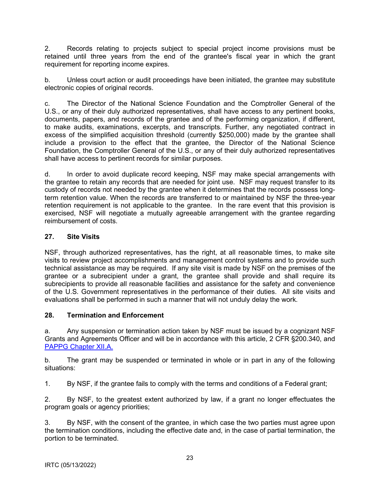<span id="page-22-0"></span>2. Records relating to projects subject to special project income provisions must be retained until three years from the end of the grantee's fiscal year in which the grant requirement for reporting income expires.

b. Unless court action or audit proceedings have been initiated, the grantee may substitute electronic copies of original records.

c. The Director of the National Science Foundation and the Comptroller General of the U.S., or any of their duly authorized representatives, shall have access to any pertinent books, documents, papers, and records of the grantee and of the performing organization, if different, to make audits, examinations, excerpts, and transcripts. Further, any negotiated contract in excess of the simplified acquisition threshold (currently \$250,000) made by the grantee shall include a provision to the effect that the grantee, the Director of the National Science Foundation, the Comptroller General of the U.S., or any of their duly authorized representatives shall have access to pertinent records for similar purposes.

d. In order to avoid duplicate record keeping, NSF may make special arrangements with the grantee to retain any records that are needed for joint use. NSF may request transfer to its custody of records not needed by the grantee when it determines that the records possess longterm retention value. When the records are transferred to or maintained by NSF the three-year retention requirement is not applicable to the grantee. In the rare event that this provision is exercised, NSF will negotiate a mutually agreeable arrangement with the grantee regarding reimbursement of costs.

## **27. Site Visits**

NSF, through authorized representatives, has the right, at all reasonable times, to make site visits to review project accomplishments and management control systems and to provide such technical assistance as may be required. If any site visit is made by NSF on the premises of the grantee or a subrecipient under a grant, the grantee shall provide and shall require its subrecipients to provide all reasonable facilities and assistance for the safety and convenience of the U.S. Government representatives in the performance of their duties. All site visits and evaluations shall be performed in such a manner that will not unduly delay the work.

### **28. Termination and Enforcement**

a. Any suspension or termination action taken by NSF must be issued by a cognizant NSF Grants and Agreements Officer and will be in accordance with this article, 2 CFR §200.340, and [PAPPG Chapter XII.A.](https://www.nsf.gov/pubs/policydocs/pappg22_1/pappg_12.jsp#XIIA)

b. The grant may be suspended or terminated in whole or in part in any of the following situations:

1. By NSF, if the grantee fails to comply with the terms and conditions of a Federal grant;

2. By NSF, to the greatest extent authorized by law, if a grant no longer effectuates the program goals or agency priorities;

3. By NSF, with the consent of the grantee, in which case the two parties must agree upon the termination conditions, including the effective date and, in the case of partial termination, the portion to be terminated.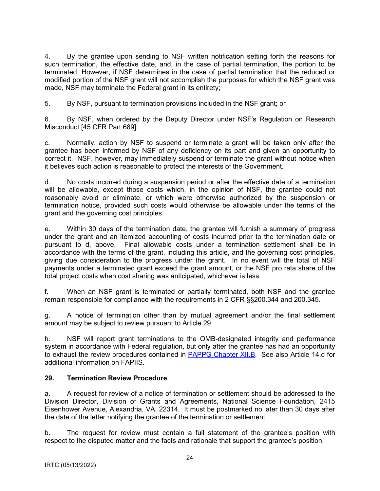<span id="page-23-0"></span>4. By the grantee upon sending to NSF written notification setting forth the reasons for such termination, the effective date, and, in the case of partial termination, the portion to be terminated. However, if NSF determines in the case of partial termination that the reduced or modified portion of the NSF grant will not accomplish the purposes for which the NSF grant was made, NSF may terminate the Federal grant in its entirety;

5. By NSF, pursuant to termination provisions included in the NSF grant; or

6. By NSF, when ordered by the Deputy Director under NSF's Regulation on Research Misconduct [45 CFR Part 689].

c. Normally, action by NSF to suspend or terminate a grant will be taken only after the grantee has been informed by NSF of any deficiency on its part and given an opportunity to correct it. NSF, however, may immediately suspend or terminate the grant without notice when it believes such action is reasonable to protect the interests of the Government.

d. No costs incurred during a suspension period or after the effective date of a termination will be allowable, except those costs which, in the opinion of NSF, the grantee could not reasonably avoid or eliminate, or which were otherwise authorized by the suspension or termination notice, provided such costs would otherwise be allowable under the terms of the grant and the governing cost principles.

e. Within 30 days of the termination date, the grantee will furnish a summary of progress under the grant and an itemized accounting of costs incurred prior to the termination date or pursuant to d, above. Final allowable costs under a termination settlement shall be in accordance with the terms of the grant, including this article, and the governing cost principles, giving due consideration to the progress under the grant. In no event will the total of NSF payments under a terminated grant exceed the grant amount, or the NSF pro rata share of the total project costs when cost sharing was anticipated, whichever is less.

f. When an NSF grant is terminated or partially terminated, both NSF and the grantee remain responsible for compliance with the requirements in 2 CFR §§200.344 and 200.345.

g. A notice of termination other than by mutual agreement and/or the final settlement amount may be subject to review pursuant to Article 29.

h. NSF will report grant terminations to the OMB-designated integrity and performance system in accordance with Federal regulation, but only after the grantee has had an opportunity to exhaust the review procedures contained in [PAPPG Chapter XII.B.](https://www.nsf.gov/pubs/policydocs/pappg22_1/pappg_12.jsp#XIIB) See also Article 14.d for additional information on FAPIIS.

### **29. Termination Review Procedure**

a. A request for review of a notice of termination or settlement should be addressed to the Division Director, Division of Grants and Agreements, National Science Foundation, 2415 Eisenhower Avenue, Alexandria, VA, 22314. It must be postmarked no later than 30 days after the date of the letter notifying the grantee of the termination or settlement.

b. The request for review must contain a full statement of the grantee's position with respect to the disputed matter and the facts and rationale that support the grantee's position.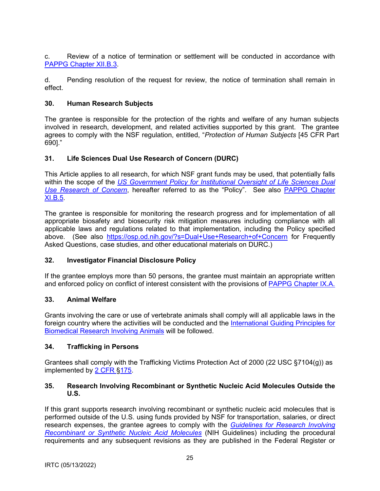<span id="page-24-0"></span>c. Review of a notice of termination or settlement will be conducted in accordance with [PAPPG Chapter XII.B.3.](https://www.nsf.gov/pubs/policydocs/pappg22_1/pappg_12.jsp#XIIB)

d. Pending resolution of the request for review, the notice of termination shall remain in effect.

### **30. Human Research Subjects**

The grantee is responsible for the protection of the rights and welfare of any human subjects involved in research, development, and related activities supported by this grant. The grantee agrees to comply with the NSF regulation, entitled, "*Protection of Human Subjects* [45 CFR Part 690]."

### **31. Life Sciences Dual Use Research of Concern (DURC)**

This Article applies to all research, for which NSF grant funds may be used, that potentially falls within the scope of the *[US Government Policy for Institutional Oversight of Life Sciences Dual](http://www.phe.gov/s3/dualuse/Pages/default.aspx)  [Use Research of Concern](http://www.phe.gov/s3/dualuse/Pages/default.aspx)*, hereafter referred to as the "Policy". See also [PAPPG Chapter](https://www.nsf.gov/pubs/policydocs/pappg22_1/pappg_11.jsp#XIB5)  [XI.B.5.](https://www.nsf.gov/pubs/policydocs/pappg22_1/pappg_11.jsp#XIB5)

The grantee is responsible for monitoring the research progress and for implementation of all appropriate biosafety and biosecurity risk mitigation measures including compliance with all applicable laws and regulations related to that implementation, including the Policy specified above. (See also <https://osp.od.nih.gov/?s=Dual+Use+Research+of+Concern> for Frequently Asked Questions, case studies, and other educational materials on DURC.)

### **32. Investigator Financial Disclosure Policy**

If the grantee employs more than 50 persons, the grantee must maintain an appropriate written and enforced policy on conflict of interest consistent with the provisions of [PAPPG Chapter IX.A.](https://www.nsf.gov/pubs/policydocs/pappg22_1/pappg_9.jsp#IXA) 

### **33. Animal Welfare**

Grants involving the care or use of vertebrate animals shall comply will all applicable laws in the foreign country where the activities will be conducted and the [International Guiding Principles for](http://grants.nih.gov/grants/olaw/Guiding_Principles_2012.pdf)  [Biomedical Research Involving Animals](http://grants.nih.gov/grants/olaw/Guiding_Principles_2012.pdf) will be followed.

### **34. Trafficking in Persons**

Grantees shall comply with the Trafficking Victims Protection Act of 2000 (22 USC §7104(g)) as implemented by [2 CFR §175.](http://www.ecfr.gov/cgi-bin/text-idx?tpl=/ecfrbrowse/Title02/2cfr175_main_02.tpl)

### **35. Research Involving Recombinant or Synthetic Nucleic Acid Molecules Outside the U.S.**

If this grant supports research involving recombinant or synthetic nucleic acid molecules that is performed outside of the U.S. using funds provided by NSF for transportation, salaries, or direct research expenses, the grantee agrees to comply with the *[Guidelines for Research Involving](http://osp.od.nih.gov/office-biotechnology-activities/biosafety/nih-guidelines)  [Recombinant or Synthetic Nucleic Acid Molecules](http://osp.od.nih.gov/office-biotechnology-activities/biosafety/nih-guidelines)* (NIH Guidelines) including the procedural requirements and any subsequent revisions as they are published in the Federal Register or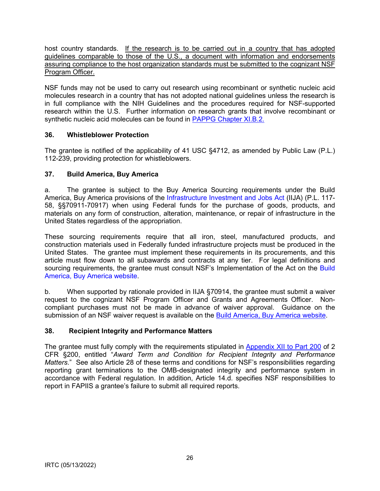<span id="page-25-0"></span>host country standards. If the research is to be carried out in a country that has adopted guidelines comparable to those of the U.S., a document with information and endorsements assuring compliance to the host organization standards must be submitted to the cognizant NSF Program Officer.

NSF funds may not be used to carry out research using recombinant or synthetic nucleic acid molecules research in a country that has not adopted national guidelines unless the research is in full compliance with the NIH Guidelines and the procedures required for NSF-supported research within the U.S. Further information on research grants that involve recombinant or synthetic nucleic acid molecules can be found in [PAPPG Chapter XI.B.2.](https://www.nsf.gov/pubs/policydocs/pappg22_1/pappg_11.jsp#XIB2)

### **36. Whistleblower Protection**

The grantee is notified of the applicability of 41 USC §4712, as amended by Public Law (P.L.) 112-239, providing protection for whistleblowers.

### **37. Build America, Buy America**

a. The grantee is subject to the Buy America Sourcing requirements under the Build America, Buy America provisions of the [Infrastructure Investment and Jobs Act](https://www.congress.gov/bill/117th-congress/house-bill/3684/text) (IIJA) (P.L. 117- 58, §§70911-70917) when using Federal funds for the purchase of goods, products, and materials on any form of construction, alteration, maintenance, or repair of infrastructure in the United States regardless of the appropriation.

These sourcing requirements require that all iron, steel, manufactured products, and construction materials used in Federally funded infrastructure projects must be produced in the United States. The grantee must implement these requirements in its procurements, and this article must flow down to all subawards and contracts at any tier. For legal definitions and sourcing requirements, the grantee must consult NSF's Implementation of the Act on the Build [America, Buy America website.](https://beta.nsf.gov/funding/build-america-buy-america)

b. When supported by rationale provided in IIJA §70914, the grantee must submit a waiver request to the cognizant NSF Program Officer and Grants and Agreements Officer. Noncompliant purchases must not be made in advance of waiver approval. Guidance on the submission of an NSF waiver request is available on the [Build America, Buy America website.](https://beta.nsf.gov/funding/build-america-buy-america)

### **38. Recipient Integrity and Performance Matters**

The grantee must fully comply with the requirements stipulated in [Appendix XII to Part 200](http://www.ecfr.gov/cgi-bin/text-idx?SID=704835d27377ef5213a51c149de40cab&node=2:1.1.2.2.1&rgn=div5) of 2 CFR §200, entitled "*Award Term and Condition for Recipient Integrity and Performance Matters*." See also Article 28 of these terms and conditions for NSF's responsibilities regarding reporting grant terminations to the OMB-designated integrity and performance system in accordance with Federal regulation. In addition, Article 14.d. specifies NSF responsibilities to report in FAPIIS a grantee's failure to submit all required reports.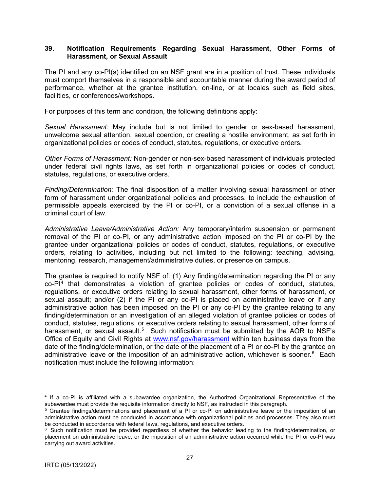#### <span id="page-26-0"></span>**39. Notification Requirements Regarding Sexual Harassment, Other Forms of Harassment, or Sexual Assault**

The PI and any co-PI(s) identified on an NSF grant are in a position of trust. These individuals must comport themselves in a responsible and accountable manner during the award period of performance, whether at the grantee institution, on-line, or at locales such as field sites, facilities, or conferences/workshops.

For purposes of this term and condition, the following definitions apply:

*Sexual Harassment:* May include but is not limited to gender or sex-based harassment, unwelcome sexual attention, sexual coercion, or creating a hostile environment, as set forth in organizational policies or codes of conduct, statutes, regulations, or executive orders.

*Other Forms of Harassment:* Non-gender or non-sex-based harassment of individuals protected under federal civil rights laws, as set forth in organizational policies or codes of conduct, statutes, regulations, or executive orders.

*Finding/Determination:* The final disposition of a matter involving sexual harassment or other form of harassment under organizational policies and processes, to include the exhaustion of permissible appeals exercised by the PI or co-PI, or a conviction of a sexual offense in a criminal court of law.

*Administrative Leave/Administrative Action:* Any temporary/interim suspension or permanent removal of the PI or co-PI, or any administrative action imposed on the PI or co-PI by the grantee under organizational policies or codes of conduct, statutes, regulations, or executive orders, relating to activities, including but not limited to the following: teaching, advising, mentoring, research, management/administrative duties, or presence on campus.

The grantee is required to notify NSF of: (1) Any finding/determination regarding the PI or any  $co-PI<sup>4</sup>$  $co-PI<sup>4</sup>$  $co-PI<sup>4</sup>$  that demonstrates a violation of grantee policies or codes of conduct, statutes, regulations, or executive orders relating to sexual harassment, other forms of harassment, or sexual assault; and/or (2) if the PI or any co-PI is placed on administrative leave or if any administrative action has been imposed on the PI or any co-PI by the grantee relating to any finding/determination or an investigation of an alleged violation of grantee policies or codes of conduct, statutes, regulations, or executive orders relating to sexual harassment, other forms of harassment, or sexual assault.<sup>[5](#page-26-2)</sup> Such notification must be submitted by the AOR to NSF's Office of Equity and Civil Rights at [www.nsf.gov/harassment](http://www.nsf.gov/harassment) within ten business days from the date of the finding/determination, or the date of the placement of a PI or co-PI by the grantee on administrative leave or the imposition of an administrative action, whichever is sooner.<sup>[6](#page-26-3)</sup> Each notification must include the following information:

<span id="page-26-1"></span><sup>4</sup> If a co-PI is affiliated with a subawardee organization, the Authorized Organizational Representative of the subawardee must provide the requisite information directly to NSF, as instructed in this paragraph.

<span id="page-26-2"></span><sup>5</sup> Grantee findings/determinations and placement of a PI or co-PI on administrative leave or the imposition of an administrative action must be conducted in accordance with organizational policies and processes. They also must be conducted in accordance with federal laws, regulations, and executive orders.

<span id="page-26-3"></span><sup>&</sup>lt;sup>6</sup> Such notification must be provided regardless of whether the behavior leading to the finding/determination, or placement on administrative leave, or the imposition of an administrative action occurred while the PI or co-PI was carrying out award activities.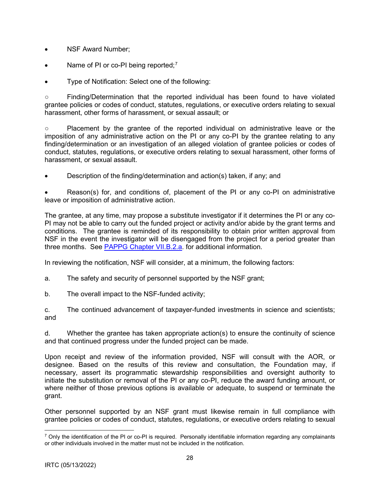- NSF Award Number:
- Name of PI or co-PI being reported;<sup>[7](#page-27-0)</sup>
- Type of Notification: Select one of the following:

○ Finding/Determination that the reported individual has been found to have violated grantee policies or codes of conduct, statutes, regulations, or executive orders relating to sexual harassment, other forms of harassment, or sexual assault; or

○ Placement by the grantee of the reported individual on administrative leave or the imposition of any administrative action on the PI or any co-PI by the grantee relating to any finding/determination or an investigation of an alleged violation of grantee policies or codes of conduct, statutes, regulations, or executive orders relating to sexual harassment, other forms of harassment, or sexual assault.

• Description of the finding/determination and action(s) taken, if any; and

• Reason(s) for, and conditions of, placement of the PI or any co-PI on administrative leave or imposition of administrative action.

The grantee, at any time, may propose a substitute investigator if it determines the PI or any co-PI may not be able to carry out the funded project or activity and/or abide by the grant terms and conditions. The grantee is reminded of its responsibility to obtain prior written approval from NSF in the event the investigator will be disengaged from the project for a period greater than three months. See [PAPPG Chapter VII.B.2.a.](https://www.nsf.gov/pubs/policydocs/pappg22_1/pappg_7.jsp#VIIB2a) for additional information.

In reviewing the notification, NSF will consider, at a minimum, the following factors:

- a. The safety and security of personnel supported by the NSF grant;
- b. The overall impact to the NSF-funded activity;

c. The continued advancement of taxpayer-funded investments in science and scientists; and

d. Whether the grantee has taken appropriate action(s) to ensure the continuity of science and that continued progress under the funded project can be made.

Upon receipt and review of the information provided, NSF will consult with the AOR, or designee. Based on the results of this review and consultation, the Foundation may, if necessary, assert its programmatic stewardship responsibilities and oversight authority to initiate the substitution or removal of the PI or any co-PI, reduce the award funding amount, or where neither of those previous options is available or adequate, to suspend or terminate the grant.

Other personnel supported by an NSF grant must likewise remain in full compliance with grantee policies or codes of conduct, statutes, regulations, or executive orders relating to sexual

<span id="page-27-0"></span> $<sup>7</sup>$  Only the identification of the PI or co-PI is required. Personally identifiable information regarding any complainants</sup> or other individuals involved in the matter must not be included in the notification.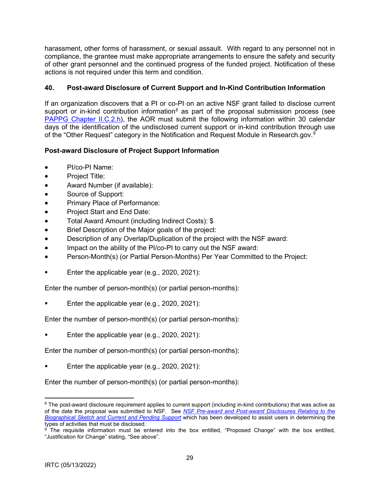<span id="page-28-0"></span>harassment, other forms of harassment, or sexual assault. With regard to any personnel not in compliance, the grantee must make appropriate arrangements to ensure the safety and security of other grant personnel and the continued progress of the funded project. Notification of these actions is not required under this term and condition.

### **40. Post-award Disclosure of Current Support and In-Kind Contribution Information**

If an organization discovers that a PI or co-PI on an active NSF grant failed to disclose current support or in-kind contribution information<sup>[8](#page-28-1)</sup> as part of the proposal submission process (see [PAPPG Chapter II.C.2.h\)](https://www.nsf.gov/pubs/policydocs/pappg22_1/pappg_2.jsp#IIC2h), the AOR must submit the following information within 30 calendar days of the identification of the undisclosed current support or in-kind contribution through use of the "Other Request" category in the Notification and Request Module in Research.gov. $^9$  $^9$ 

### **Post-award Disclosure of Project Support Information**

- PI/co-PI Name:
- Project Title:
- Award Number (if available):
- Source of Support:
- Primary Place of Performance:
- Project Start and End Date:
- Total Award Amount (including Indirect Costs): \$
- Brief Description of the Major goals of the project:
- Description of any Overlap/Duplication of the project with the NSF award:
- Impact on the ability of the PI/co-PI to carry out the NSF award:
- Person-Month(s) (or Partial Person-Months) Per Year Committed to the Project:
- Enter the applicable year (e.g., 2020, 2021):

Enter the number of person-month(s) (or partial person-months):

Enter the applicable year (e.g., 2020, 2021):

Enter the number of person-month(s) (or partial person-months):

Enter the applicable year (e.g., 2020, 2021):

Enter the number of person-month(s) (or partial person-months):

Enter the applicable year (e.g., 2020, 2021):

Enter the number of person-month(s) (or partial person-months):

<span id="page-28-1"></span><sup>&</sup>lt;sup>8</sup> The post-award disclosure requirement applies to current support (including in-kind contributions) that was active as of the date the proposal was submitted to NSF. See *[NSF Pre-award and Post-award Disclosures Relating to the](https://www.nsf.gov/bfa/dias/policy/disclosures_table.jsp)  [Biographical Sketch and Current and Pending Support](https://www.nsf.gov/bfa/dias/policy/disclosures_table.jsp)* which has been developed to assist users in determining the

<span id="page-28-2"></span> $\frac{9}{10}$  The requisite information must be entered into the box entitled, "Proposed Change" with the box entitled, "Justification for Change" stating, "See above".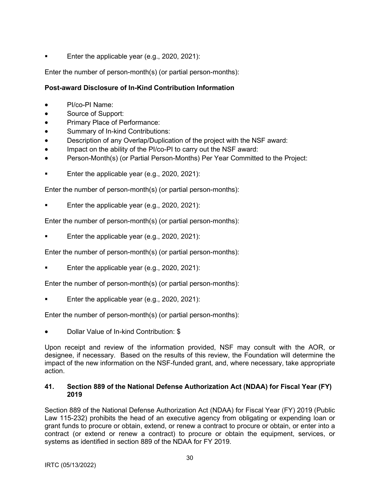<span id="page-29-0"></span>Enter the applicable year (e.g., 2020, 2021):

Enter the number of person-month(s) (or partial person-months):

### **Post-award Disclosure of In-Kind Contribution Information**

- PI/co-PI Name:
- Source of Support:
- Primary Place of Performance:
- Summary of In-kind Contributions:
- Description of any Overlap/Duplication of the project with the NSF award:
- Impact on the ability of the PI/co-PI to carry out the NSF award:
- Person-Month(s) (or Partial Person-Months) Per Year Committed to the Project:
- Enter the applicable year (e.g., 2020, 2021):

Enter the number of person-month(s) (or partial person-months):

Enter the applicable year (e.g., 2020, 2021):

Enter the number of person-month(s) (or partial person-months):

Enter the applicable year (e.g., 2020, 2021):

Enter the number of person-month(s) (or partial person-months):

Enter the applicable year (e.g., 2020, 2021):

Enter the number of person-month(s) (or partial person-months):

Enter the applicable year (e.g., 2020, 2021):

Enter the number of person-month(s) (or partial person-months):

• Dollar Value of In-kind Contribution: \$

Upon receipt and review of the information provided, NSF may consult with the AOR, or designee, if necessary. Based on the results of this review, the Foundation will determine the impact of the new information on the NSF-funded grant, and, where necessary, take appropriate action.

#### **41. Section 889 of the National Defense Authorization Act (NDAA) for Fiscal Year (FY) 2019**

Section 889 of the National Defense Authorization Act (NDAA) for Fiscal Year (FY) 2019 (Public Law 115-232) prohibits the head of an executive agency from obligating or expending loan or grant funds to procure or obtain, extend, or renew a contract to procure or obtain, or enter into a contract (or extend or renew a contract) to procure or obtain the equipment, services, or systems as identified in section 889 of the NDAA for FY 2019.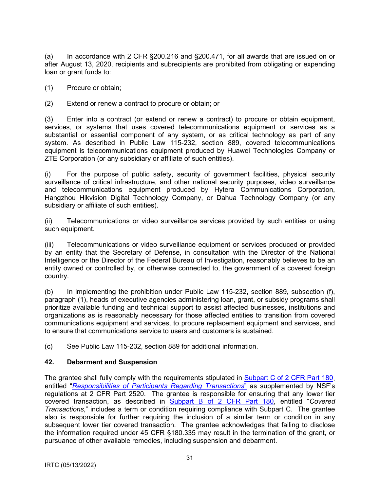<span id="page-30-0"></span>(a) In accordance with 2 CFR §200.216 and §200.471, for all awards that are issued on or after August 13, 2020, recipients and subrecipients are prohibited from obligating or expending loan or grant funds to:

(1) Procure or obtain;

(2) Extend or renew a contract to procure or obtain; or

(3) Enter into a contract (or extend or renew a contract) to procure or obtain equipment, services, or systems that uses covered telecommunications equipment or services as a substantial or essential component of any system, or as critical technology as part of any system. As described in Public Law 115-232, section 889, covered telecommunications equipment is telecommunications equipment produced by Huawei Technologies Company or ZTE Corporation (or any subsidiary or affiliate of such entities).

(i) For the purpose of public safety, security of government facilities, physical security surveillance of critical infrastructure, and other national security purposes, video surveillance and telecommunications equipment produced by Hytera Communications Corporation, Hangzhou Hikvision Digital Technology Company, or Dahua Technology Company (or any subsidiary or affiliate of such entities).

(ii) Telecommunications or video surveillance services provided by such entities or using such equipment.

(iii) Telecommunications or video surveillance equipment or services produced or provided by an entity that the Secretary of Defense, in consultation with the Director of the National Intelligence or the Director of the Federal Bureau of Investigation, reasonably believes to be an entity owned or controlled by, or otherwise connected to, the government of a covered foreign country.

(b) In implementing the prohibition under Public Law 115-232, section 889, subsection (f), paragraph (1), heads of executive agencies administering loan, grant, or subsidy programs shall prioritize available funding and technical support to assist affected businesses, institutions and organizations as is reasonably necessary for those affected entities to transition from covered communications equipment and services, to procure replacement equipment and services, and to ensure that communications service to users and customers is sustained.

(c) See Public Law 115-232, section 889 for additional information.

### **42. Debarment and Suspension**

The grantee shall fully comply with the requirements stipulated in Subpart C of 2 CFR Part 180, entitled "*Responsibilities of Participants Regarding Transactions*" as supplemented by NSF's regulations at 2 CFR Part 2520. The grantee is responsible for ensuring that any lower tier covered transaction, as described in Subpart B of 2 CFR Part 180, entitled "*Covered Transactions*," includes a term or condition requiring compliance with Subpart C. The grantee also is responsible for further requiring the inclusion of a similar term or condition in any subsequent lower tier covered transaction. The grantee acknowledges that failing to disclose the information required under 45 CFR §180.335 may result in the termination of the grant, or pursuance of other available remedies, including suspension and debarment.